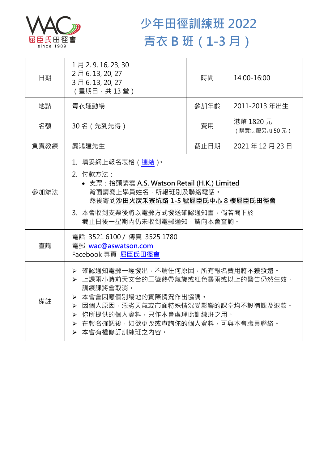

## **少年田徑訓練班 2022 青衣 B 班(1-3 月)**

| 日期   | 1月2,9,16,23,30<br>2月6,13,20,27<br>3月6, 13, 20, 27<br>(星期日,共13堂)                                                                                                                                                                       | 時間   | 14:00-16:00              |  |
|------|---------------------------------------------------------------------------------------------------------------------------------------------------------------------------------------------------------------------------------------|------|--------------------------|--|
| 地點   | 青衣運動場                                                                                                                                                                                                                                 | 參加年齡 | 2011-2013 年出生            |  |
| 名額   | 30名 (先到先得)                                                                                                                                                                                                                            | 費用   | 港幣 1820 元<br>(購買制服另加50元) |  |
| 負責教練 | 龔鴻建先生                                                                                                                                                                                                                                 | 截止日期 | 2021年12月23日              |  |
| 參加辦法 | 1. 填妥網上報名表格 (連結)。<br>2. 付款方法:<br>• 支票: 抬頭請寫 A.S. Watson Retail (H.K.) Limited<br>背面請寫上學員姓名,所報班別及聯絡電話。<br>然後寄到沙田火炭禾寮坑路 1-5 號屈臣氏中心 8 樓屈臣氏田徑會<br>3. 本會收到支票後將以電郵方式發送確認通知書,倘若閣下於<br>截止日後一星期內仍未收到電郵通知,請向本會查詢。                               |      |                          |  |
| 查詢   | 電話 3521 6100 / 傳真 3525 1780<br>電郵 wac@aswatson.com<br>Facebook 專頁 屈臣氏田徑會                                                                                                                                                              |      |                          |  |
| 備註   | ▶ 確認通知電郵一經發出,不論任何原因,所有報名費用將不獲發還。<br>▶ 上課兩小時前天文台的三號熱帶氣旋或紅色暴雨或以上的警告仍然生效,<br>訓練課將會取消。<br>▶ 本會會因應個別場地的實際情況作出協調。<br>▶ 因個人原因,惡劣天氣或市面特殊情況受影響的課堂均不設補課及退款。<br>▶ 你所提供的個人資料,只作本會處理此訓練班之用。<br>> 在報名確認後,如欲更改或查詢你的個人資料,可與本會職員聯絡。<br>> 本會有權修訂訓練班之內容。 |      |                          |  |